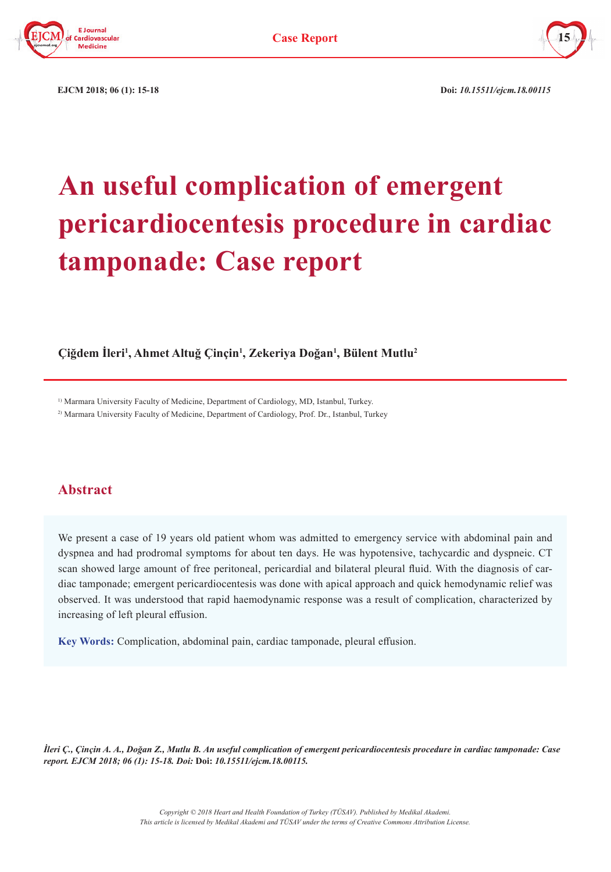



**EJCM 2018;** 06 (1): 15-18 **Doi:** *10.15511/ejcm.18.00115* 

# **An useful complication of emergent pericardiocentesis procedure in cardiac tamponade: Case report**

**Çiğdem İleri<sup>1</sup> , Ahmet Altuğ Çinçin<sup>1</sup> , Zekeriya Doğan<sup>1</sup> , Bülent Mutlu2**

<sup>1)</sup> Marmara University Faculty of Medicine, Department of Cardiology, MD, Istanbul, Turkey.

2) Marmara University Faculty of Medicine, Department of Cardiology, Prof. Dr., Istanbul, Turkey

# **Abstract**

We present a case of 19 years old patient whom was admitted to emergency service with abdominal pain and dyspnea and had prodromal symptoms for about ten days. He was hypotensive, tachycardic and dyspneic. CT scan showed large amount of free peritoneal, pericardial and bilateral pleural fluid. With the diagnosis of cardiac tamponade; emergent pericardiocentesis was done with apical approach and quick hemodynamic relief was observed. It was understood that rapid haemodynamic response was a result of complication, characterized by increasing of left pleural effusion.

**Key Words:** Complication, abdominal pain, cardiac tamponade, pleural effusion.

*İleri Ç., Çinçin A. A., Doğan Z., Mutlu B. An useful complication of emergent pericardiocentesis procedure in cardiac tamponade: Case report. EJCM 2018; 06 (1): 15-18. Doi:* **Doi:** *10.15511/ejcm.18.00115.*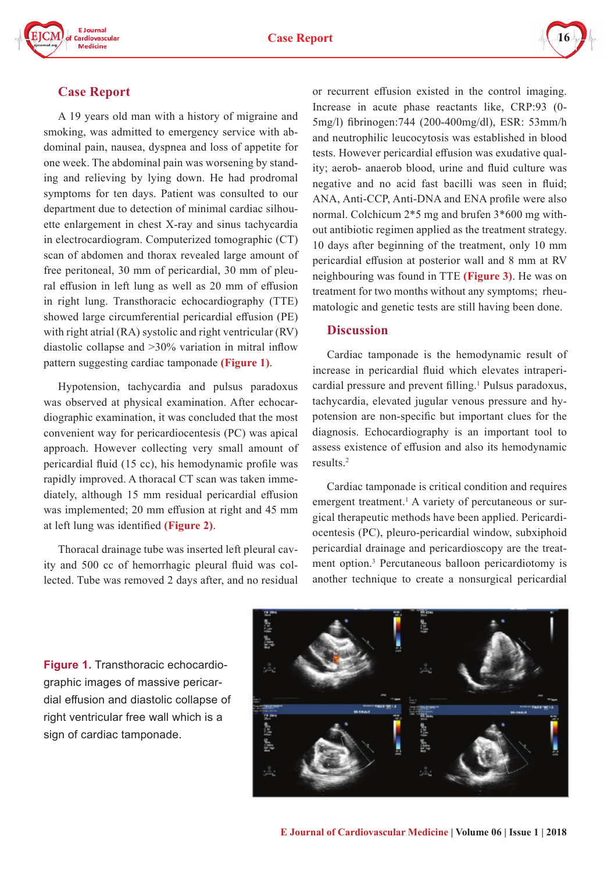



# **Case Report**

A 19 years old man with a history of migraine and smoking, was admitted to emergency service with abdominal pain, nausea, dyspnea and loss of appetite for one week. The abdominal pain was worsening by standing and relieving by lying down. He had prodromal symptoms for ten days. Patient was consulted to our department due to detection of minimal cardiac silhouette enlargement in chest X-ray and sinus tachycardia in electrocardiogram. Computerized tomographic (CT) scan of abdomen and thorax revealed large amount of free peritoneal, 30 mm of pericardial, 30 mm of pleural effusion in left lung as well as 20 mm of effusion in right lung. Transthoracic echocardiography (TTE) showed large circumferential pericardial effusion (PE) with right atrial (RA) systolic and right ventricular (RV) diastolic collapse and >30% variation in mitral inflow pattern suggesting cardiac tamponade **(Figure 1)**.

Hypotension, tachycardia and pulsus paradoxus was observed at physical examination. After echocardiographic examination, it was concluded that the most convenient way for pericardiocentesis (PC) was apical approach. However collecting very small amount of pericardial fluid (15 cc), his hemodynamic profile was rapidly improved. A thoracal CT scan was taken immediately, although 15 mm residual pericardial effusion was implemented; 20 mm effusion at right and 45 mm at left lung was identified **(Figure 2)**.

Thoracal drainage tube was inserted left pleural cavity and 500 cc of hemorrhagic pleural fluid was collected. Tube was removed 2 days after, and no residual or recurrent effusion existed in the control imaging. Increase in acute phase reactants like, CRP:93 (0- 5mg/l) fibrinogen:744 (200-400mg/dl), ESR: 53mm/h and neutrophilic leucocytosis was established in blood tests. However pericardial effusion was exudative quality; aerob- anaerob blood, urine and fluid culture was negative and no acid fast bacilli was seen in fluid; ANA, Anti-CCP, Anti-DNA and ENA profile were also normal. Colchicum 2\*5 mg and brufen 3\*600 mg without antibiotic regimen applied as the treatment strategy. 10 days after beginning of the treatment, only 10 mm pericardial effusion at posterior wall and 8 mm at RV neighbouring was found in TTE **(Figure 3)**. He was on treatment for two months without any symptoms; rheumatologic and genetic tests are still having been done.

### **Discussion**

Cardiac tamponade is the hemodynamic result of increase in pericardial fluid which elevates intrapericardial pressure and prevent filling.<sup>1</sup> Pulsus paradoxus, tachycardia, elevated jugular venous pressure and hypotension are non-specific but important clues for the diagnosis. Echocardiography is an important tool to assess existence of effusion and also its hemodynamic results.2

Cardiac tamponade is critical condition and requires emergent treatment.<sup>1</sup> A variety of percutaneous or surgical therapeutic methods have been applied. Pericardiocentesis (PC), pleuro-pericardial window, subxiphoid pericardial drainage and pericardioscopy are the treatment option.3 Percutaneous balloon pericardiotomy is another technique to create a nonsurgical pericardial

**Figure 1.** Transthoracic echocardiographic images of massive pericardial effusion and diastolic collapse of right ventricular free wall which is a sign of cardiac tamponade.

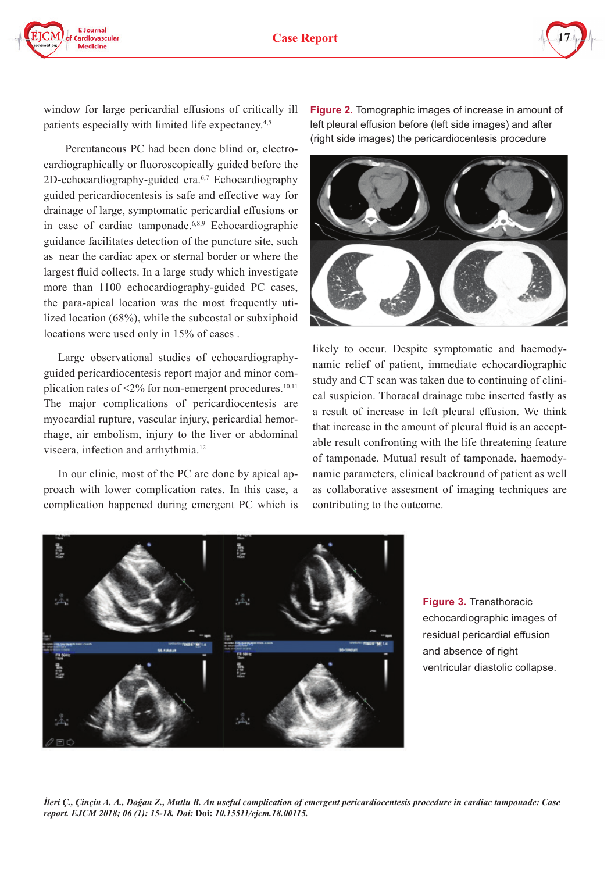



window for large pericardial effusions of critically ill patients especially with limited life expectancy.4,5

 Percutaneous PC had been done blind or, electrocardiographically or fluoroscopically guided before the 2D-echocardiography-guided era.<sup>6,7</sup> Echocardiography guided pericardiocentesis is safe and effective way for drainage of large, symptomatic pericardial effusions or in case of cardiac tamponade.<sup>6,8,9</sup> Echocardiographic guidance facilitates detection of the puncture site, such as near the cardiac apex or sternal border or where the largest fluid collects. In a large study which investigate more than 1100 echocardiography-guided PC cases, the para-apical location was the most frequently utilized location (68%), while the subcostal or subxiphoid locations were used only in 15% of cases .

Large observational studies of echocardiographyguided pericardiocentesis report major and minor complication rates of  $\leq$ 2% for non-emergent procedures.<sup>10,11</sup> The major complications of pericardiocentesis are myocardial rupture, vascular injury, pericardial hemorrhage, air embolism, injury to the liver or abdominal viscera, infection and arrhythmia.12

In our clinic, most of the PC are done by apical approach with lower complication rates. In this case, a complication happened during emergent PC which is **Figure 2.** Tomographic images of increase in amount of left pleural effusion before (left side images) and after (right side images) the pericardiocentesis procedure



likely to occur. Despite symptomatic and haemodynamic relief of patient, immediate echocardiographic study and CT scan was taken due to continuing of clinical suspicion. Thoracal drainage tube inserted fastly as a result of increase in left pleural effusion. We think that increase in the amount of pleural fluid is an acceptable result confronting with the life threatening feature of tamponade. Mutual result of tamponade, haemodynamic parameters, clinical backround of patient as well as collaborative assesment of imaging techniques are contributing to the outcome.



**Figure 3.** Transthoracic echocardiographic images of residual pericardial effusion and absence of right ventricular diastolic collapse.

*İleri Ç., Çinçin A. A., Doğan Z., Mutlu B. An useful complication of emergent pericardiocentesis procedure in cardiac tamponade: Case report. EJCM 2018; 06 (1): 15-18. Doi:* **Doi:** *10.15511/ejcm.18.00115.*